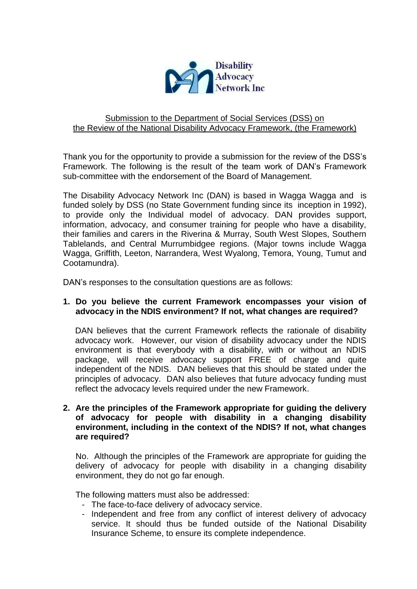

## Submission to the Department of Social Services (DSS) on the Review of the National Disability Advocacy Framework, (the Framework)

Thank you for the opportunity to provide a submission for the review of the DSS's Framework. The following is the result of the team work of DAN's Framework sub-committee with the endorsement of the Board of Management.

The Disability Advocacy Network Inc (DAN) is based in Wagga Wagga and is funded solely by DSS (no State Government funding since its inception in 1992), to provide only the Individual model of advocacy. DAN provides support, information, advocacy, and consumer training for people who have a disability, their families and carers in the Riverina & Murray, South West Slopes, Southern Tablelands, and Central Murrumbidgee regions. (Major towns include Wagga Wagga, Griffith, Leeton, Narrandera, West Wyalong, Temora, Young, Tumut and Cootamundra).

DAN's responses to the consultation questions are as follows:

#### **1. Do you believe the current Framework encompasses your vision of advocacy in the NDIS environment? If not, what changes are required?**

DAN believes that the current Framework reflects the rationale of disability advocacy work. However, our vision of disability advocacy under the NDIS environment is that everybody with a disability, with or without an NDIS package, will receive advocacy support FREE of charge and quite independent of the NDIS. DAN believes that this should be stated under the principles of advocacy. DAN also believes that future advocacy funding must reflect the advocacy levels required under the new Framework.

# **2. Are the principles of the Framework appropriate for guiding the delivery of advocacy for people with disability in a changing disability environment, including in the context of the NDIS? If not, what changes are required?**

No. Although the principles of the Framework are appropriate for guiding the delivery of advocacy for people with disability in a changing disability environment, they do not go far enough.

The following matters must also be addressed:

- The face-to-face delivery of advocacy service.
- Independent and free from any conflict of interest delivery of advocacy service. It should thus be funded outside of the National Disability Insurance Scheme, to ensure its complete independence.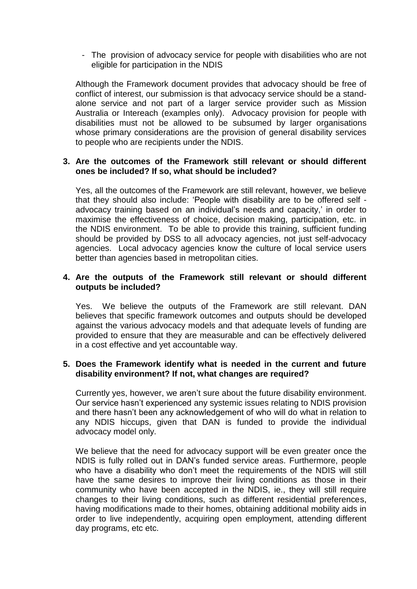- The provision of advocacy service for people with disabilities who are not eligible for participation in the NDIS

Although the Framework document provides that advocacy should be free of conflict of interest, our submission is that advocacy service should be a standalone service and not part of a larger service provider such as Mission Australia or Intereach (examples only). Advocacy provision for people with disabilities must not be allowed to be subsumed by larger organisations whose primary considerations are the provision of general disability services to people who are recipients under the NDIS.

# **3. Are the outcomes of the Framework still relevant or should different ones be included? If so, what should be included?**

Yes, all the outcomes of the Framework are still relevant, however, we believe that they should also include: 'People with disability are to be offered self advocacy training based on an individual's needs and capacity,' in order to maximise the effectiveness of choice, decision making, participation, etc. in the NDIS environment. To be able to provide this training, sufficient funding should be provided by DSS to all advocacy agencies, not just self-advocacy agencies. Local advocacy agencies know the culture of local service users better than agencies based in metropolitan cities.

## **4. Are the outputs of the Framework still relevant or should different outputs be included?**

Yes. We believe the outputs of the Framework are still relevant. DAN believes that specific framework outcomes and outputs should be developed against the various advocacy models and that adequate levels of funding are provided to ensure that they are measurable and can be effectively delivered in a cost effective and yet accountable way.

## **5. Does the Framework identify what is needed in the current and future disability environment? If not, what changes are required?**

Currently yes, however, we aren't sure about the future disability environment. Our service hasn't experienced any systemic issues relating to NDIS provision and there hasn't been any acknowledgement of who will do what in relation to any NDIS hiccups, given that DAN is funded to provide the individual advocacy model only.

We believe that the need for advocacy support will be even greater once the NDIS is fully rolled out in DAN's funded service areas. Furthermore, people who have a disability who don't meet the requirements of the NDIS will still have the same desires to improve their living conditions as those in their community who have been accepted in the NDIS, ie., they will still require changes to their living conditions, such as different residential preferences, having modifications made to their homes, obtaining additional mobility aids in order to live independently, acquiring open employment, attending different day programs, etc etc.